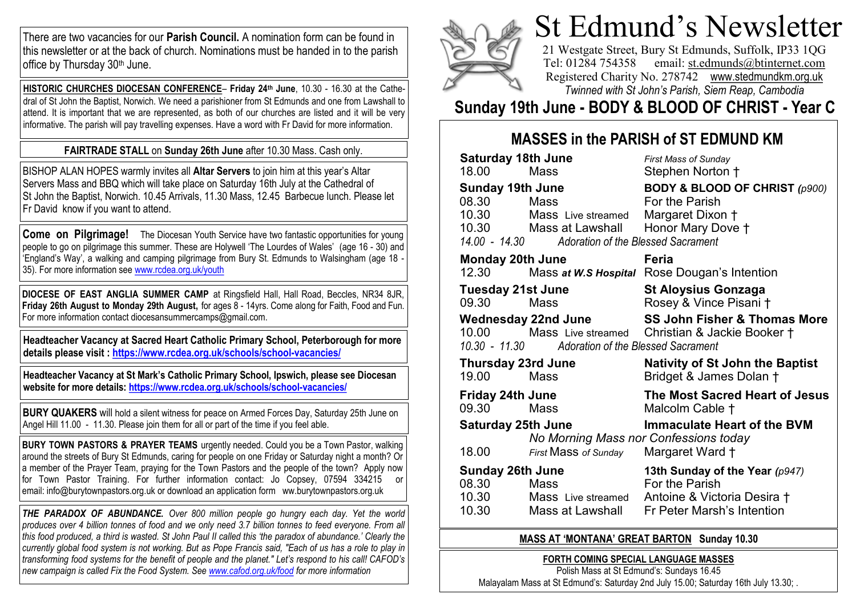There are two vacancies for our **Parish Council.** A nomination form can be found in this newsletter or at the back of church. Nominations must be handed in to the parish office by Thursday 30th June.

**HISTORIC CHURCHES DIOCESAN CONFERENCE**– **Friday 24th June**, 10.30 - 16.30 at the Cathedral of St John the Baptist, Norwich. We need a parishioner from St Edmunds and one from Lawshall to attend. It is important that we are represented, as both of our churches are listed and it will be very informative. The parish will pay travelling expenses. Have a word with Fr David for more information.

#### **FAIRTRADE STALL** on **Sunday 26th June** after 10.30 Mass. Cash only.

BISHOP ALAN HOPES warmly invites all **Altar Servers** to join him at this year's Altar Servers Mass and BBQ which will take place on Saturday 16th July at the Cathedral of St John the Baptist, Norwich. 10.45 Arrivals, 11.30 Mass, 12.45 Barbecue lunch. Please let Fr David know if you want to attend.

**Come on Pilgrimage!** The Diocesan Youth Service have two fantastic opportunities for young people to go on pilgrimage this summer. These are Holywell 'The Lourdes of Wales' (age 16 - 30) and 'England's Way', a walking and camping pilgrimage from Bury St. Edmunds to Walsingham (age 18 - 35). For more information see [www.rcdea.org.uk/youth](http://www.rcdea.org.uk/youth)

**DIOCESE OF EAST ANGLIA SUMMER CAMP** at Ringsfield Hall, Hall Road, Beccles, NR34 8JR, **Friday 26th August to Monday 29th August,** for ages 8 - 14yrs. Come along for Faith, Food and Fun. For more information contact diocesansummercamps@gmail.com.

**Headteacher Vacancy at Sacred Heart Catholic Primary School, Peterborough for more details please visit : <https://www.rcdea.org.uk/schools/school-vacancies/>**

**Headteacher Vacancy at St Mark's Catholic Primary School, Ipswich, please see Diocesan website for more details: <https://www.rcdea.org.uk/schools/school-vacancies/>**

**BURY QUAKERS** will hold a silent witness for peace on Armed Forces Day, Saturday 25th June on Angel Hill 11.00 - 11.30. Please join them for all or part of the time if you feel able.

**BURY TOWN PASTORS & PRAYER TEAMS** urgently needed. Could you be a Town Pastor, walking around the streets of Bury St Edmunds, caring for people on one Friday or Saturday night a month? Or a member of the Prayer Team, praying for the Town Pastors and the people of the town? Apply now for Town Pastor Training. For further information contact: Jo Copsey, 07594 334215 or email: info@burytownpastors.org.uk or download an application form ww.burytownpastors.org.uk

*THE PARADOX OF ABUNDANCE. Over 800 million people go hungry each day. Yet the world*  produces over 4 billion tonnes of food and we only need 3.7 billion tonnes to feed everyone. From all *this food produced, a third is wasted. St John Paul II called this 'the paradox of abundance.' Clearly the currently global food system is not working. But as Pope Francis said, "Each of us has a role to play in transforming food systems for the benefit of people and the planet." Let's respond to his call! CAFOD's new campaign is called Fix the Food System. See [www.cafod.org.uk/food](http://www.cafod.org.uk/food) for more information*



# St Edmund's Newsletter

21 Westgate Street, Bury St Edmunds, Suffolk, IP33 1QG Tel: 01284 754358 email: [st.edmunds@b](mailto:st.edmunds@)tinternet.com Registered Charity No. 278742 [www.stedmundkm.org.uk](http://www.stedmundkm.org.uk/) *[Twinned with St John's Parish, Siem Reap, Cambodia](http://www.stedmundkm.org.uk/)*

## **Sunday 19th June - BODY & BLOOD OF CHRIST - Year C**

## **MASSES in the PARISH of ST EDMUND KM**

| <b>Saturday 18th June</b>  |                                                  | <b>First Mass of Sunday</b>                    |
|----------------------------|--------------------------------------------------|------------------------------------------------|
| 18.00                      | Mass                                             | Stephen Norton †                               |
| <b>Sunday 19th June</b>    |                                                  | <b>BODY &amp; BLOOD OF CHRIST (p900)</b>       |
| 08.30                      | Mass                                             | For the Parish                                 |
| 10.30                      | Mass Live streamed                               | Margaret Dixon †                               |
| 10.30                      | Mass at Lawshall                                 | Honor Mary Dove †                              |
|                            | 14.00 - 14.30 Adoration of the Blessed Sacrament |                                                |
| <b>Monday 20th June</b>    |                                                  | Feria                                          |
| 12.30                      |                                                  | Mass at W.S Hospital Rose Dougan's Intention   |
| <b>Tuesday 21st June</b>   |                                                  | <b>St Aloysius Gonzaga</b>                     |
| 09.30                      | Mass                                             | Rosey & Vince Pisani †                         |
| <b>Wednesday 22nd June</b> |                                                  | <b>SS John Fisher &amp; Thomas More</b>        |
| 10.00                      |                                                  | Mass Live streamed Christian & Jackie Booker + |
|                            | 10.30 - 11.30 Adoration of the Blessed Sacrament |                                                |
| <b>Thursday 23rd June</b>  |                                                  | <b>Nativity of St John the Baptist</b>         |
| 19.00                      | Mass                                             | Bridget & James Dolan †                        |
| <b>Friday 24th June</b>    |                                                  | The Most Sacred Heart of Jesus                 |
| 09.30                      | Mass                                             | Malcolm Cable †                                |
| <b>Saturday 25th June</b>  |                                                  | <b>Immaculate Heart of the BVM</b>             |
|                            | No Morning Mass nor Confessions today            |                                                |
| 18.00                      | First Mass of Sunday                             | Margaret Ward +                                |
| <b>Sunday 26th June</b>    |                                                  | 13th Sunday of the Year (p947)                 |
| 08.30                      | Mass                                             | For the Parish                                 |
| 10.30                      | Mass Live streamed                               | Antoine & Victoria Desira †                    |
| 10.30                      | Mass at Lawshall                                 | Fr Peter Marsh's Intention                     |

#### **MASS AT 'MONTANA' GREAT BARTON Sunday 10.30**

**FORTH COMING SPECIAL LANGUAGE MASSES**

Polish Mass at St Edmund's: Sundays 16.45 Malayalam Mass at St Edmund's: Saturday 2nd July 15.00; Saturday 16th July 13.30; .